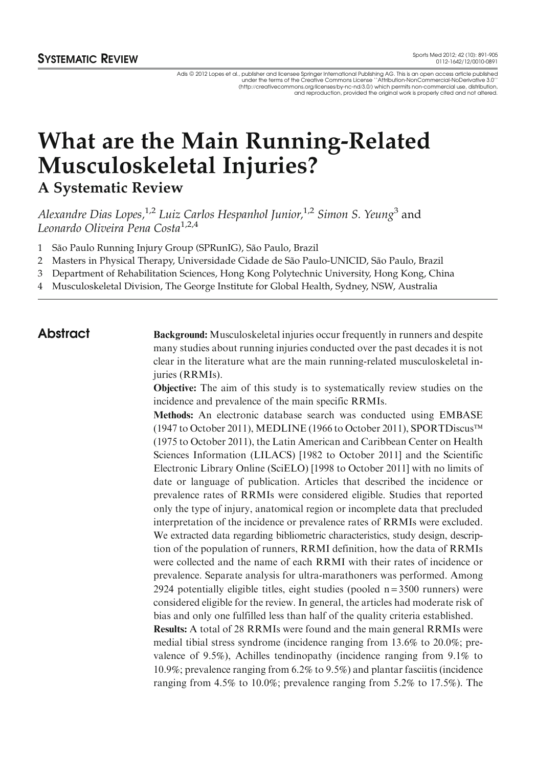Adis © 2012 Lopes et al., publisher and licensee Springer International Publishing AG. This is an open access article published<br>"Was an open access article published and the Creative Commons License ``Attribution-NonCommer (http://creativecommons.org/licenses/by-nc-nd/3.0/) which permits non-commercial use, distribution, and reproduction, provided the original work is properly cited and not altered.

# What are the Main Running-Related Musculoskeletal Injuries?

A Systematic Review

Alexandre Dias Lopes,<sup>1,2</sup> Luiz Carlos Hespanhol Junior,<sup>1,2</sup> Simon S. Yeung<sup>3</sup> and Leonardo Oliveira Pena Costa<sup>1,2,4</sup>

1 São Paulo Running Injury Group (SPRunIG), São Paulo, Brazil

2 Masters in Physical Therapy, Universidade Cidade de São Paulo-UNICID, São Paulo, Brazil

3 Department of Rehabilitation Sciences, Hong Kong Polytechnic University, Hong Kong, China

4 Musculoskeletal Division, The George Institute for Global Health, Sydney, NSW, Australia

Abstract Background: Musculoskeletal injuries occur frequently in runners and despite many studies about running injuries conducted over the past decades it is not clear in the literature what are the main running-related musculoskeletal injuries (RRMIs).

> Objective: The aim of this study is to systematically review studies on the incidence and prevalence of the main specific RRMIs.

> Methods: An electronic database search was conducted using EMBASE (1947 to October 2011), MEDLINE (1966 to October 2011), SPORTDiscus (1975 to October 2011), the Latin American and Caribbean Center on Health Sciences Information (LILACS) [1982 to October 2011] and the Scientific Electronic Library Online (SciELO) [1998 to October 2011] with no limits of date or language of publication. Articles that described the incidence or prevalence rates of RRMIs were considered eligible. Studies that reported only the type of injury, anatomical region or incomplete data that precluded interpretation of the incidence or prevalence rates of RRMIs were excluded. We extracted data regarding bibliometric characteristics, study design, description of the population of runners, RRMI definition, how the data of RRMIs were collected and the name of each RRMI with their rates of incidence or prevalence. Separate analysis for ultra-marathoners was performed. Among 2924 potentially eligible titles, eight studies (pooled  $n = 3500$  runners) were considered eligible for the review. In general, the articles had moderate risk of bias and only one fulfilled less than half of the quality criteria established.

> Results: A total of 28 RRMIs were found and the main general RRMIs were medial tibial stress syndrome (incidence ranging from 13.6% to 20.0%; prevalence of 9.5%), Achilles tendinopathy (incidence ranging from 9.1% to 10.9%; prevalence ranging from 6.2% to 9.5%) and plantar fasciitis (incidence ranging from 4.5% to 10.0%; prevalence ranging from 5.2% to 17.5%). The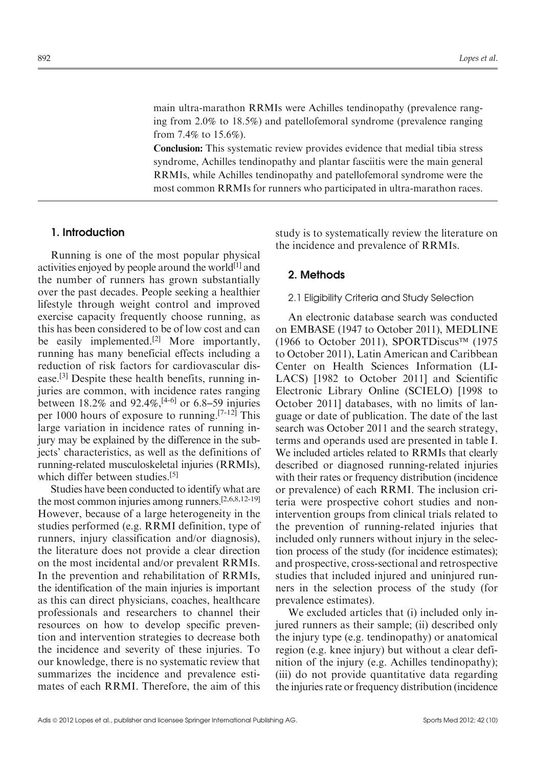main ultra-marathon RRMIs were Achilles tendinopathy (prevalence ranging from 2.0% to 18.5%) and patellofemoral syndrome (prevalence ranging from 7.4% to 15.6%).

Conclusion: This systematic review provides evidence that medial tibia stress syndrome, Achilles tendinopathy and plantar fasciitis were the main general RRMIs, while Achilles tendinopathy and patellofemoral syndrome were the most common RRMIs for runners who participated in ultra-marathon races.

# 1. Introduction

Running is one of the most popular physical activities enjoyed by people around the world $[1]$  and the number of runners has grown substantially over the past decades. People seeking a healthier lifestyle through weight control and improved exercise capacity frequently choose running, as this has been considered to be of low cost and can be easily implemented.<sup>[2]</sup> More importantly, running has many beneficial effects including a reduction of risk factors for cardiovascular disease.[3] Despite these health benefits, running injuries are common, with incidence rates ranging between  $18.2\%$  and  $92.4\%$ ,  $[4-6]$  or 6.8–59 injuries per 1000 hours of exposure to running.[7-12] This large variation in incidence rates of running injury may be explained by the difference in the subjects' characteristics, as well as the definitions of running-related musculoskeletal injuries (RRMIs), which differ between studies.<sup>[5]</sup>

Studies have been conducted to identify what are the most common injuries among runners.[2,6,8,12-19] However, because of a large heterogeneity in the studies performed (e.g. RRMI definition, type of runners, injury classification and/or diagnosis), the literature does not provide a clear direction on the most incidental and/or prevalent RRMIs. In the prevention and rehabilitation of RRMIs, the identification of the main injuries is important as this can direct physicians, coaches, healthcare professionals and researchers to channel their resources on how to develop specific prevention and intervention strategies to decrease both the incidence and severity of these injuries. To our knowledge, there is no systematic review that summarizes the incidence and prevalence estimates of each RRMI. Therefore, the aim of this

study is to systematically review the literature on the incidence and prevalence of RRMIs.

### 2. Methods

### 2.1 Eligibility Criteria and Study Selection

An electronic database search was conducted on EMBASE (1947 to October 2011), MEDLINE  $(1966 \text{ to October } 2011)$ , SPORTDiscus<sup>TM</sup> (1975) to October 2011), Latin American and Caribbean Center on Health Sciences Information (LI-LACS) [1982 to October 2011] and Scientific Electronic Library Online (SCIELO) [1998 to October 2011] databases, with no limits of language or date of publication. The date of the last search was October 2011 and the search strategy, terms and operands used are presented in table I. We included articles related to RRMIs that clearly described or diagnosed running-related injuries with their rates or frequency distribution (incidence or prevalence) of each RRMI. The inclusion criteria were prospective cohort studies and nonintervention groups from clinical trials related to the prevention of running-related injuries that included only runners without injury in the selection process of the study (for incidence estimates); and prospective, cross-sectional and retrospective studies that included injured and uninjured runners in the selection process of the study (for prevalence estimates).

We excluded articles that (i) included only injured runners as their sample; (ii) described only the injury type (e.g. tendinopathy) or anatomical region (e.g. knee injury) but without a clear definition of the injury (e.g. Achilles tendinopathy); (iii) do not provide quantitative data regarding the injuries rate or frequency distribution (incidence)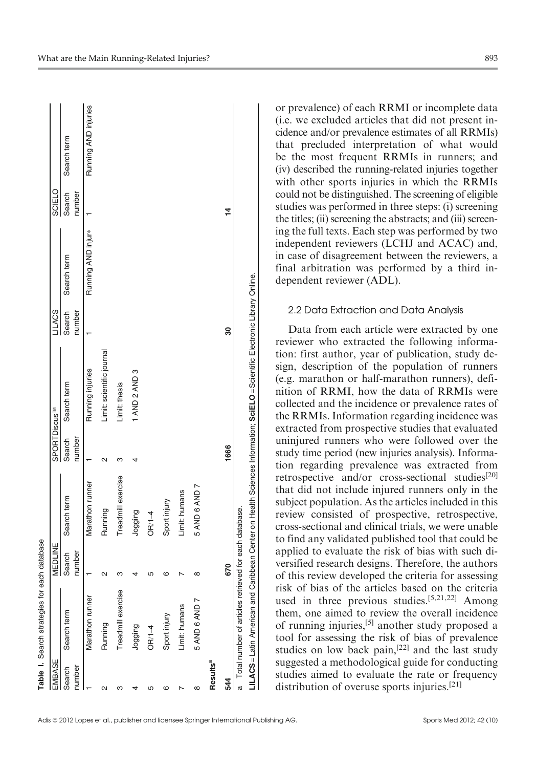| EMBASE               | Table I. Search strategies for each database            | MEDLINE          |                    | SPORTDiscus <sup>™</sup> |                                                                                                                             | <b>LILACS</b>    |                    | SCIELO           |                      |
|----------------------|---------------------------------------------------------|------------------|--------------------|--------------------------|-----------------------------------------------------------------------------------------------------------------------------|------------------|--------------------|------------------|----------------------|
| Search<br>number     | Search term                                             | Search<br>number | Search term        | Search<br>number         | Search term                                                                                                                 | Search<br>number | Search term        | Search<br>number | Search term          |
|                      | Marathon runner                                         |                  | Marathon runner    |                          | Running injuries                                                                                                            |                  | Running AND injur* |                  | Running AND injuries |
| 2                    | Running                                                 | $\sim$           | Running            |                          | Limit: scientific journal                                                                                                   |                  |                    |                  |                      |
| ო                    | Treadmill exercise                                      | ო                | Treadmill exercise |                          | Limit: thesis                                                                                                               |                  |                    |                  |                      |
| 4                    | Dogging                                                 |                  | Dogging            |                          | 1 AND 2 AND 3                                                                                                               |                  |                    |                  |                      |
| Ю                    | $ORI-4$                                                 |                  | $OR/1-4$           |                          |                                                                                                                             |                  |                    |                  |                      |
| ဖ                    | Sport injury                                            | ဖ                | Sport injury       |                          |                                                                                                                             |                  |                    |                  |                      |
|                      | Limit: humans                                           |                  | Limit: humans      |                          |                                                                                                                             |                  |                    |                  |                      |
| $\infty$             | 5 AND 6 AND 7                                           | ∞                | 5 AND 6 AND 7      |                          |                                                                                                                             |                  |                    |                  |                      |
| Results <sup>a</sup> |                                                         |                  |                    |                          |                                                                                                                             |                  |                    |                  |                      |
| 544                  |                                                         | 670              |                    | 1666                     |                                                                                                                             | ౚౢ               |                    | $\frac{4}{1}$    |                      |
|                      | a Total number of articles retrieved for each database. |                  |                    |                          |                                                                                                                             |                  |                    |                  |                      |
|                      |                                                         |                  |                    |                          | LILACS = Latin American and Caribbean Center on Health Sciences Information; SciELO = Scientific Electronic Library Online. |                  |                    |                  |                      |
|                      |                                                         |                  |                    |                          |                                                                                                                             |                  |                    |                  |                      |

or prevalence) of each RRMI or incomplete data (i.e. we excluded articles that did not present incidence and/or prevalence estimates of all RRMIs) that precluded interpretation of what would be the most frequent RRMIs in runners; and (iv) described the running-related injuries together with other sports injuries in which the RRMIs could not be distinguished. The screening of eligible studies was performed in three steps: (i) screening the titles; (ii) screening the abstracts; and (iii) screening the full texts. Each step was performed by two independent reviewers (LCHJ and ACAC) and, in case of disagreement between the reviewers, a final arbitration was performed by a third independent reviewer (ADL).

#### 2.2 Data Extraction and Data Analysis

Data from each article were extracted by one reviewer who extracted the following information: first author, year of publication, study design, description of the population of runners (e.g. marathon or half-marathon runners), definition of RRMI, how the data of RRMIs were collected and the incidence or prevalence rates of the RRMIs. Information regarding incidence was extracted from prospective studies that evaluated uninjured runners who were followed over the study time period (new injuries analysis). Information regarding prevalence was extracted from retrospective and/or cross-sectional studies<sup>[20]</sup> that did not include injured runners only in the subject population. As the articles included in this review consisted of prospective, retrospective, cross-sectional and clinical trials, we were unable to find any validated published tool that could be applied to evaluate the risk of bias with such diversified research designs. Therefore, the authors of this review developed the criteria for assessing risk of bias of the articles based on the criteria used in three previous studies.<sup>[5,21,22]</sup> Among them, one aimed to review the overall incidence of running injuries,[5] another study proposed a tool for assessing the risk of bias of prevalence studies on low back pain,[22] and the last study suggested a methodological guide for conducting studies aimed to evaluate the rate or frequency distribution of overuse sports injuries.[21]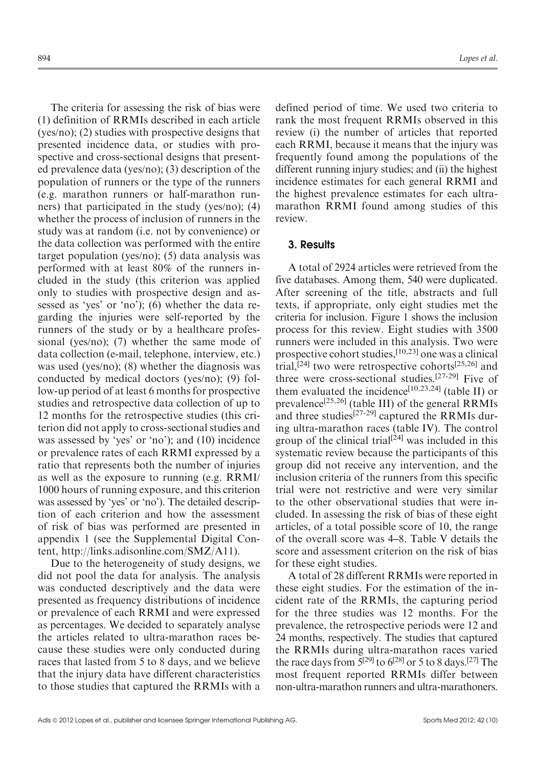The criteria for assessing the risk of bias were (1) definition of RRMIs described in each article (yes/no); (2) studies with prospective designs that presented incidence data, or studies with prospective and cross-sectional designs that presented prevalence data (yes/no); (3) description of the population of runners or the type of the runners (e.g. marathon runners or half-marathon runners) that participated in the study (yes/no); (4) whether the process of inclusion of runners in the study was at random (i.e. not by convenience) or the data collection was performed with the entire target population (yes/no); (5) data analysis was performed with at least 80% of the runners included in the study (this criterion was applied only to studies with prospective design and assessed as 'yes' or 'no'); (6) whether the data regarding the injuries were self-reported by the runners of the study or by a healthcare professional (yes/no); (7) whether the same mode of data collection (e-mail, telephone, interview, etc.) was used (yes/no); (8) whether the diagnosis was conducted by medical doctors (yes/no); (9) follow-up period of at least 6 months for prospective studies and retrospective data collection of up to 12 months for the retrospective studies (this criterion did not apply to cross-sectional studies and was assessed by 'yes' or 'no'); and (10) incidence or prevalence rates of each RRMI expressed by a ratio that represents both the number of injuries as well as the exposure to running (e.g. RRMI/ 1000 hours of running exposure, and this criterion was assessed by 'yes' or 'no'). The detailed description of each criterion and how the assessment of risk of bias was performed are presented in appendix 1 (see the Supplemental Digital Content, http://links.adisonline.com/SMZ/A11).

Due to the heterogeneity of study designs, we did not pool the data for analysis. The analysis was conducted descriptively and the data were presented as frequency distributions of incidence or prevalence of each RRMI and were expressed as percentages. We decided to separately analyse the articles related to ultra-marathon races because these studies were only conducted during races that lasted from 5 to 8 days, and we believe that the injury data have different characteristics to those studies that captured the RRMIs with a defined period of time. We used two criteria to rank the most frequent RRMIs observed in this review (i) the number of articles that reported each RRMI, because it means that the injury was frequently found among the populations of the different running injury studies; and (ii) the highest incidence estimates for each general RRMI and the highest prevalence estimates for each ultramarathon RRMI found among studies of this review.

#### 3. Results

A total of 2924 articles were retrieved from the five databases. Among them, 540 were duplicated. After screening of the title, abstracts and full texts, if appropriate, only eight studies met the criteria for inclusion. Figure 1 shows the inclusion process for this review. Eight studies with 3500 runners were included in this analysis. Two were prospective cohort studies,[10,23] one was a clinical trial,[24] two were retrospective cohorts[25,26] and three were cross-sectional studies.[27-29] Five of them evaluated the incidence<sup>[10,23,24]</sup> (table II) or prevalence<sup>[25,26]</sup> (table III) of the general RRMIs and three studies<sup>[27-29]</sup> captured the RRMIs during ultra-marathon races (table IV). The control group of the clinical trial<sup>[24]</sup> was included in this systematic review because the participants of this group did not receive any intervention, and the inclusion criteria of the runners from this specific trial were not restrictive and were very similar to the other observational studies that were included. In assessing the risk of bias of these eight articles, of a total possible score of 10, the range of the overall score was 4–8. Table V details the score and assessment criterion on the risk of bias for these eight studies.

A total of 28 different RRMIs were reported in these eight studies. For the estimation of the incident rate of the RRMIs, the capturing period for the three studies was 12 months. For the prevalence, the retrospective periods were 12 and 24 months, respectively. The studies that captured the RRMIs during ultra-marathon races varied the race days from  $\bar{5}^{[29]}$  to  $6^{[28]}$  or 5 to 8 days.<sup>[27]</sup> The most frequent reported RRMIs differ between non-ultra-marathon runners and ultra-marathoners.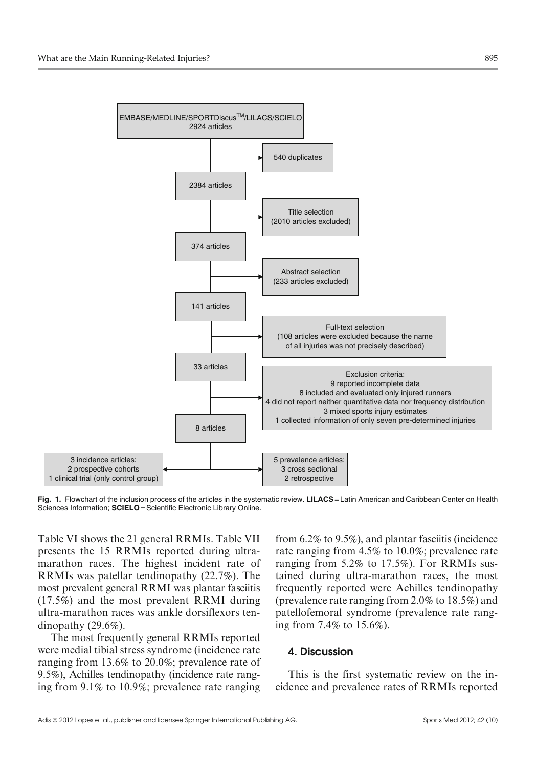

Fig. 1. Flowchart of the inclusion process of the articles in the systematic review. LILACS = Latin American and Caribbean Center on Health Sciences Information; SCIELO = Scientific Electronic Library Online.

Table VI shows the 21 general RRMIs. Table VII presents the 15 RRMIs reported during ultramarathon races. The highest incident rate of RRMIs was patellar tendinopathy (22.7%). The most prevalent general RRMI was plantar fasciitis (17.5%) and the most prevalent RRMI during ultra-marathon races was ankle dorsiflexors tendinopathy (29.6%).

The most frequently general RRMIs reported were medial tibial stress syndrome (incidence rate ranging from 13.6% to 20.0%; prevalence rate of 9.5%), Achilles tendinopathy (incidence rate ranging from 9.1% to 10.9%; prevalence rate ranging from 6.2% to 9.5%), and plantar fasciitis (incidence rate ranging from 4.5% to 10.0%; prevalence rate ranging from 5.2% to 17.5%). For RRMIs sustained during ultra-marathon races, the most frequently reported were Achilles tendinopathy (prevalence rate ranging from 2.0% to 18.5%) and patellofemoral syndrome (prevalence rate ranging from 7.4% to 15.6%).

## 4. Discussion

This is the first systematic review on the incidence and prevalence rates of RRMIs reported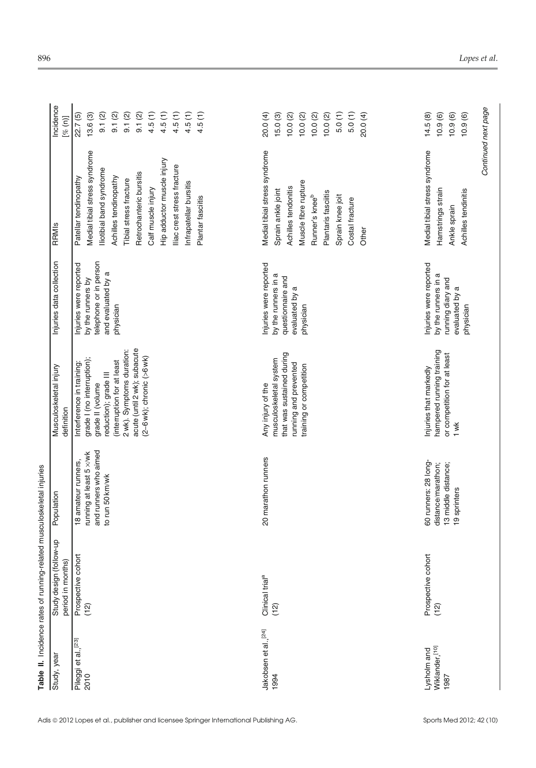|                                         | Table II. Incidence rates of running-related musculoskeletal injuries |                                                                                            |                                                                                                                                                                                                                                  |                                                                                                          |                                                                                                                                                                                                                                                                                                    |                                                                                                              |
|-----------------------------------------|-----------------------------------------------------------------------|--------------------------------------------------------------------------------------------|----------------------------------------------------------------------------------------------------------------------------------------------------------------------------------------------------------------------------------|----------------------------------------------------------------------------------------------------------|----------------------------------------------------------------------------------------------------------------------------------------------------------------------------------------------------------------------------------------------------------------------------------------------------|--------------------------------------------------------------------------------------------------------------|
| Study, year                             | qu-wollot)<br>period in months)<br>Study design                       | Population                                                                                 | Musculoskeletal injury<br>definition                                                                                                                                                                                             | Injuries data collection                                                                                 | RRMIS                                                                                                                                                                                                                                                                                              | Incidence<br>[% (n)]                                                                                         |
| Pileggi et al., <sup>[23]</sup><br>2010 | Prospective cohort<br>(12)                                            | and runners who aimed<br>running at least 5 x/wk<br>18 amateur runners,<br>to run 50 km/wk | acute (until 2 wk); subacute<br>2 wk). Symptoms duration:<br>$(2-6$ wk); chronic $(>6$ wk)<br>grade I (no interruption);<br>(interruption for at least<br>Interference in training:<br>reduction); grade III<br>grade II (volume | telephone or in person<br>Injuries were reported<br>and evaluated by a<br>by the runners by<br>physician | Medial tibial stress syndrome<br>Hip adductor muscle injury<br>lliac crest stress fracture<br>lliotibial band syndrome<br>Retrochanteric bursitis<br>Achilles tendinopathy<br>Patellar tendinopathy<br>Tibial stress fracture<br>Infrapatellar bursitis<br>Calf muscle injury<br>Plantar fasciitis | 4.5(1)<br>4.5(1)<br>4.5(1)<br>4.5(1)<br>9.1(2)<br>9.1(2)<br>9.1(2)<br>9.1(2)<br>4.5(1)<br>22.7(5)<br>13.6(3) |
| Jakobsen et al., [24]<br>1994           | Clinical trial <sup>a</sup><br>(12)                                   | 20 marathon runners                                                                        | that was sustained during<br>musculoskeletal system<br>running and prevented<br>training or competition<br>Any injury of the                                                                                                     | Injuries were reported<br>by the runners in a<br>questionnaire and<br>evaluated by a<br>physician        | Medial tibial stress syndrome<br>Muscle fibre rupture<br>Achilles tendonitis<br>Sprain ankle joint<br>Plantaris fasciitis<br>Runner's knee <sup>b</sup><br>Sprain knee joit<br>Costal fracture<br>Other                                                                                            | 5.0(1)<br>5.0(1)<br>20.0 (4)<br>15.0(3)<br>10.0(2)<br>10.0(2)<br>10.0(2)<br>10.0(2)<br>20.0(4)               |
| Wiklander, [10]<br>Lysholm and<br>1987  | Prospective cohort<br>(12)                                            | 60 runners: 28 long-<br>distance/marathon;<br>13 middle distance;<br>19 sprinters          | hampered running training<br>or competition for at least<br>Injuries that markedly<br>1 wk                                                                                                                                       | Injuries were reported<br>by the runners in a<br>running diary and<br>evaluated by a<br>physician        | Medial tibial stress syndrome<br>Hamstrings strain<br>Achilles tendinitis<br>Ankle sprain                                                                                                                                                                                                          | Continued next page<br>10.9(6)<br>10.9(6)<br>10.9(6)<br>14.5(8)                                              |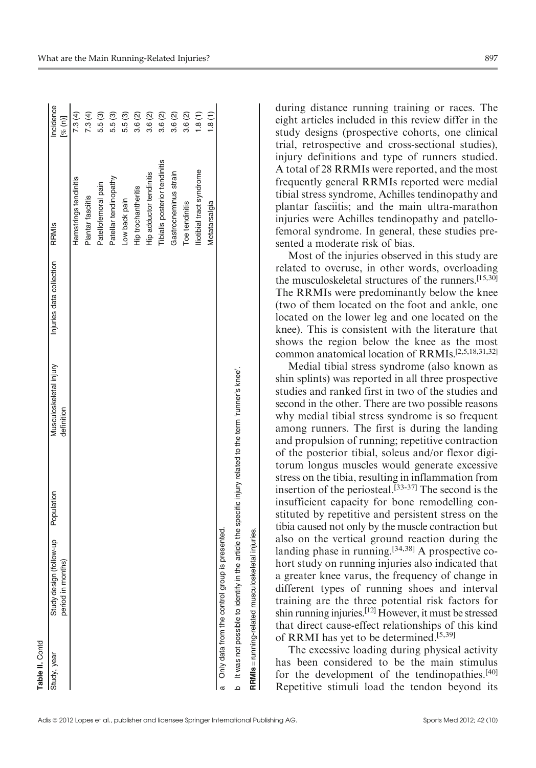| Table II. Contd                   |                                                  |                                                                         |                        |                          |                               |           |
|-----------------------------------|--------------------------------------------------|-------------------------------------------------------------------------|------------------------|--------------------------|-------------------------------|-----------|
| Study, year                       | Study design (follow-up Population               |                                                                         | Musculoskeletal injury | Injuries data collection | RRMIS                         | Incidence |
|                                   | period in months)                                |                                                                         | definition             |                          |                               | [% (n)]   |
|                                   |                                                  |                                                                         |                        |                          | Hamstrings tendinitis         | 7.3(4)    |
|                                   |                                                  |                                                                         |                        |                          | Plantar fasciitis             | 7.3(4)    |
|                                   |                                                  |                                                                         |                        |                          | Patellofemoral pain           | 5.5(3)    |
|                                   |                                                  |                                                                         |                        |                          | Patellar tendinopathy         | 5.5(3)    |
|                                   |                                                  |                                                                         |                        |                          | Low back pain                 | 5.5 (3)   |
|                                   |                                                  |                                                                         |                        |                          | Hip trochantheritis           | 3.6(2)    |
|                                   |                                                  |                                                                         |                        |                          | Hip adductor tendinitis       | 3.6(2)    |
|                                   |                                                  |                                                                         |                        |                          | Tibialis posterior tendinitis | 3.6(2)    |
|                                   |                                                  |                                                                         |                        |                          | Gastrocneminus strain         | 3.6(2)    |
|                                   |                                                  |                                                                         |                        |                          | Toe tendinitis                | 3.6(2)    |
|                                   |                                                  |                                                                         |                        |                          | Iliotibial tract syndrome     | 1.8(1)    |
|                                   |                                                  |                                                                         |                        |                          | Metatarsalgia                 | .8(1)     |
|                                   | a Only data from the control group is presented. |                                                                         |                        |                          |                               |           |
| b It was not possible to identify |                                                  | in the article the specific injury related to the term 'runner's knee'. |                        |                          |                               |           |

during distance running training or races. The eight articles included in this review differ in the study designs (prospective cohorts, one clinical trial, retrospective and cross-sectional studies), injury definitions and type of runners studied. A total of 28 RRMIs were reported, and the most frequently general RRMIs reported were medial tibial stress syndrome, Achilles tendinopathy and plantar fasciitis; and the main ultra-marathon injuries were Achilles tendinopathy and patellofemoral syndrome. In general, these studies presented a moderate risk of bias.

Most of the injuries observed in this study are related to overuse, in other words, overloading the musculoskeletal structures of the runners.[15,30] The RRMIs were predominantly below the knee (two of them located on the foot and ankle, one located on the lower leg and one located on the knee). This is consistent with the literature that shows the region below the knee as the most common anatomical location of RRMIs.[2,5,18,31,32]

Medial tibial stress syndrome (also known as shin splints) was reported in all three prospective studies and ranked first in two of the studies and second in the other. There are two possible reasons why medial tibial stress syndrome is so frequent among runners. The first is during the landing and propulsion of running; repetitive contraction of the posterior tibial, soleus and/or flexor digitorum longus muscles would generate excessive stress on the tibia, resulting in inflammation from insertion of the periosteal.<sup>[33-37]</sup> The second is the insufficient capacity for bone remodelling constituted by repetitive and persistent stress on the tibia caused not only by the muscle contraction but also on the vertical ground reaction during the landing phase in running.<sup>[34,38]</sup> A prospective cohort study on running injuries also indicated that a greater knee varus, the frequency of change in different types of running shoes and interval training are the three potential risk factors for shin running injuries.[12] However, it must be stressed that direct cause-effect relationships of this kind of RRMI has yet to be determined.[5,39]

The excessive loading during physical activity has been considered to be the main stimulus for the development of the tendinopathies.<sup>[40]</sup> Repetitive stimuli load the tendon beyond its

RRMIs = running-related musculoskeletal injuries.

RRMIs = running-related musculoskeletal injuries.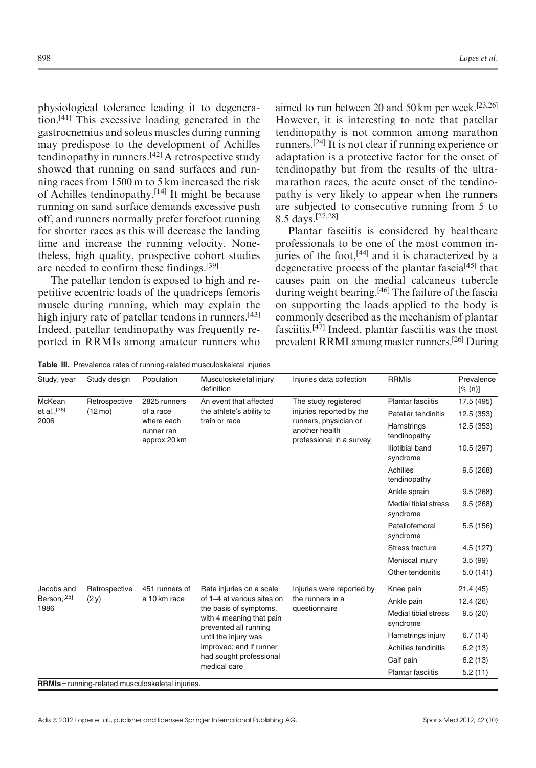physiological tolerance leading it to degeneration.[41] This excessive loading generated in the gastrocnemius and soleus muscles during running may predispose to the development of Achilles tendinopathy in runners.<sup>[42]</sup> A retrospective study showed that running on sand surfaces and running races from 1500 m to 5 km increased the risk of Achilles tendinopathy.[14] It might be because running on sand surface demands excessive push off, and runners normally prefer forefoot running for shorter races as this will decrease the landing time and increase the running velocity. Nonetheless, high quality, prospective cohort studies are needed to confirm these findings.[39]

The patellar tendon is exposed to high and repetitive eccentric loads of the quadriceps femoris muscle during running, which may explain the high injury rate of patellar tendons in runners.<sup>[43]</sup> Indeed, patellar tendinopathy was frequently reported in RRMIs among amateur runners who

aimed to run between 20 and 50 km per week.[23,26] However, it is interesting to note that patellar tendinopathy is not common among marathon runners.[24] It is not clear if running experience or adaptation is a protective factor for the onset of tendinopathy but from the results of the ultramarathon races, the acute onset of the tendinopathy is very likely to appear when the runners are subjected to consecutive running from 5 to 8.5 days.[27,28]

Plantar fasciitis is considered by healthcare professionals to be one of the most common injuries of the foot,[44] and it is characterized by a degenerative process of the plantar fascia<sup>[45]</sup> that causes pain on the medial calcaneus tubercle during weight bearing.<sup>[46]</sup> The failure of the fascia on supporting the loads applied to the body is commonly described as the mechanism of plantar fasciitis.<sup>[47]</sup> Indeed, plantar fasciitis was the most prevalent RRMI among master runners.[26] During

Table III. Prevalence rates of running-related musculoskeletal injuries

| Study, year  | Study design                                  | Population                               | Musculoskeletal injury<br>definition               | Injuries data collection                                            | <b>RRMIs</b>                     | Prevalence<br>$[\%$ (n)] |
|--------------|-----------------------------------------------|------------------------------------------|----------------------------------------------------|---------------------------------------------------------------------|----------------------------------|--------------------------|
| McKean       | Retrospective                                 | 2825 runners                             | An event that affected                             | The study registered                                                | <b>Plantar fasciitis</b>         | 17.5 (495)               |
| et al., [26] | $(12 \text{ mo})$                             | of a race                                | the athlete's ability to                           | injuries reported by the                                            | Patellar tendinitis              | 12.5 (353)               |
| 2006         |                                               | where each<br>runner ran<br>approx 20 km | train or race                                      | runners, physician or<br>another health<br>professional in a survey | Hamstrings<br>tendinopathy       | 12.5 (353)               |
|              |                                               |                                          |                                                    |                                                                     | Iliotibial band<br>syndrome      | 10.5 (297)               |
|              |                                               |                                          |                                                    |                                                                     | Achilles<br>tendinopathy         | 9.5(268)                 |
|              |                                               |                                          |                                                    |                                                                     | Ankle sprain                     | 9.5(268)                 |
|              |                                               |                                          |                                                    |                                                                     | Medial tibial stress<br>syndrome | 9.5(268)                 |
|              |                                               |                                          |                                                    |                                                                     | Patellofemoral<br>syndrome       | 5.5(156)                 |
|              |                                               |                                          |                                                    |                                                                     | Stress fracture                  | 4.5(127)                 |
|              |                                               |                                          |                                                    |                                                                     | Meniscal injury                  | 3.5(99)                  |
|              |                                               |                                          |                                                    |                                                                     | Other tendonitis                 | 5.0(141)                 |
| Jacobs and   | Retrospective                                 | 451 runners of                           | Rate injuries on a scale                           | Injuries were reported by                                           | Knee pain                        | 21.4 (45)                |
| Berson, [25] | (2y)                                          | a 10 km race                             | of 1-4 at various sites on                         | the runners in a                                                    | Ankle pain                       | 12.4(26)                 |
| 1986         |                                               |                                          | the basis of symptoms,<br>with 4 meaning that pain | questionnaire                                                       | Medial tibial stress<br>syndrome | 9.5(20)                  |
|              | prevented all running<br>until the injury was |                                          |                                                    | Hamstrings injury                                                   | 6.7(14)                          |                          |
|              |                                               |                                          | improved; and if runner                            |                                                                     | Achilles tendinitis              | 6.2(13)                  |
|              |                                               |                                          | had sought professional                            |                                                                     | Calf pain                        | 6.2(13)                  |
|              |                                               |                                          | medical care                                       |                                                                     | <b>Plantar fasciitis</b>         | 5.2(11)                  |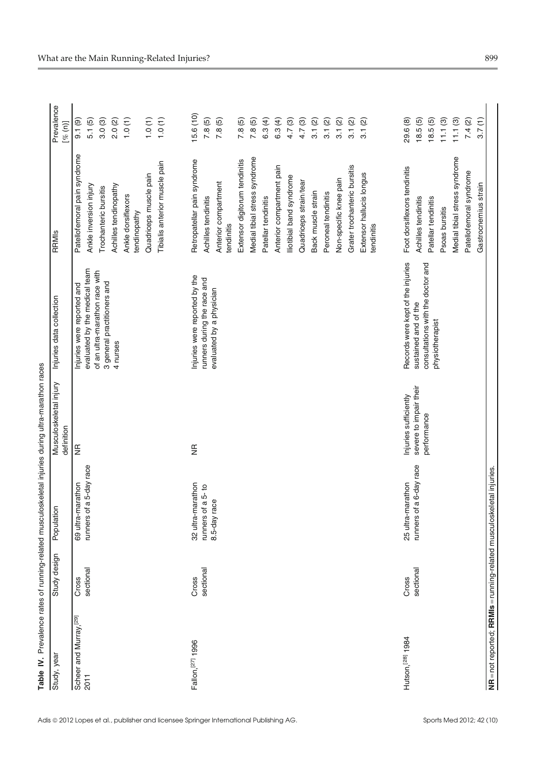| .<br>.<br>.<br>.<br>. |
|-----------------------|
|                       |
|                       |
|                       |
|                       |
|                       |
| ì                     |
| ï<br>ć<br>I           |

| Study, year                                                          | design<br>Study | Population              | Musculoskeletal injury<br>definition | Injuries data collection                                      | RRMIS                                  | Prevalence<br>[% (n)] |
|----------------------------------------------------------------------|-----------------|-------------------------|--------------------------------------|---------------------------------------------------------------|----------------------------------------|-----------------------|
| Scheer and Murray, <sup>[29]</sup><br>2011                           | Cross           | 69 ultra-marathon       | $\mathfrak{g}$                       | Injuries were reported and                                    | Patellofemoral pain syndrome           | 9.1(9)                |
|                                                                      | sectional       | runners of a 5-day race |                                      | evaluated by the medical team                                 | Ankle inversion injury                 | 5.1(5)                |
|                                                                      |                 |                         |                                      | of an ultra-marathon race with<br>3 general practitioners and | Trochanteric bursitis                  | 3.0(3)                |
|                                                                      |                 |                         |                                      | 4 nurses                                                      | Achilles tendinopathy                  | 2.0(2)                |
|                                                                      |                 |                         |                                      |                                                               | Ankle dorsiflexors<br>tendinopathy     | $1.0(1)$              |
|                                                                      |                 |                         |                                      |                                                               | Quadriceps muscle pain                 | 1.0(1)                |
|                                                                      |                 |                         |                                      |                                                               | Tibialis anterior muscle pain          | 1.0(1)                |
| Fallon, [27] 1996                                                    | Cross           | 32 ultra-marathon       | €                                    | Injuries were reported by the                                 | Retropatellar pain syndrome            | 15.6(10)              |
|                                                                      | sectional       | runners of a 5-to       |                                      | runners during the race and                                   | Achilles tendinitis                    | 7.8(5)                |
|                                                                      |                 | 8.5-day race            |                                      | evaluated by a physician                                      | Anterior compartment<br>tendinitis     | 7.8(5)                |
|                                                                      |                 |                         |                                      |                                                               | Extensor digitorum tendinitis          | 7.8(5)                |
|                                                                      |                 |                         |                                      |                                                               | Medial tibial stress syndrome          | 7.8(5)                |
|                                                                      |                 |                         |                                      |                                                               | Patellar tendinitis                    | 6.3(4)                |
|                                                                      |                 |                         |                                      |                                                               | Anterior compartment pain              | 6.3(4)                |
|                                                                      |                 |                         |                                      |                                                               | lliotibial band syndrome               | 4.7(3)                |
|                                                                      |                 |                         |                                      |                                                               | Quadriceps strain/tear                 | 4.7(3)                |
|                                                                      |                 |                         |                                      |                                                               | Back muscle strain                     | 3.1(2)                |
|                                                                      |                 |                         |                                      |                                                               | Peroneal tendinitis                    | 3.1(2)                |
|                                                                      |                 |                         |                                      |                                                               | Non-specific knee pain                 | 3.1(2)                |
|                                                                      |                 |                         |                                      |                                                               | Grater trochanteric bursitis           | 3.1(2)                |
|                                                                      |                 |                         |                                      |                                                               | Extensor hallucis longus<br>tendinitis | 3.1(2)                |
| Hutson, [28] 1984                                                    | Cross           | 25 ultra-marathon       | Injuries sufficiently                | Records were kept of the injuries                             | Foot dorsiflexors tendinitis           | 29.6 (8)              |
|                                                                      | sectional       | runners of a 6-day race | severe to impair their               | sustained and of the                                          | Achilles tendinitis                    | 18.5(5)               |
|                                                                      |                 |                         | performance                          | consultations with the doctor and<br>physiotherapist          | Patellar tendinitis                    | 18.5(5)               |
|                                                                      |                 |                         |                                      |                                                               | Psoas bursitis                         | 11.1(3)               |
|                                                                      |                 |                         |                                      |                                                               | Medial tibial stress syndrome          | 11.1(3)               |
|                                                                      |                 |                         |                                      |                                                               | Patellofemoral syndrome                | 7.4(2)                |
|                                                                      |                 |                         |                                      |                                                               | Gastrocnemius strain                   | 3.7(1)                |
| NR = not reported; RRMIs = running-related musculoskeletal injuries. |                 |                         |                                      |                                                               |                                        |                       |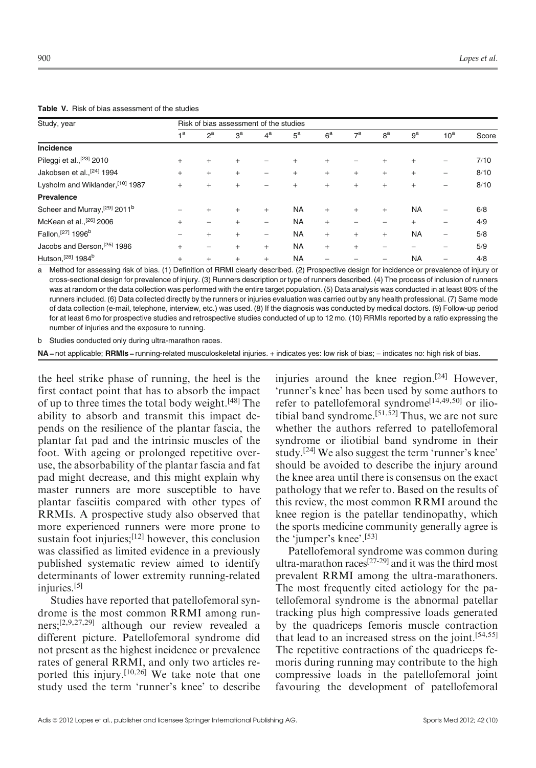Table V. Risk of bias assessment of the studies

| Study, year                               |                | Risk of bias assessment of the studies |                |                          |                  |                |                |                |                |                 |       |
|-------------------------------------------|----------------|----------------------------------------|----------------|--------------------------|------------------|----------------|----------------|----------------|----------------|-----------------|-------|
|                                           | 1 <sup>a</sup> | $2^a$                                  | 3 <sup>a</sup> | 4 <sup>a</sup>           | $5^{\mathrm{a}}$ | 6 <sup>a</sup> | 7 <sup>a</sup> | 8 <sup>a</sup> | 9 <sup>a</sup> | 10 <sup>a</sup> | Score |
| Incidence                                 |                |                                        |                |                          |                  |                |                |                |                |                 |       |
| Pileggi et al., <sup>[23]</sup> 2010      | $+$            | $^{+}$                                 | $^{+}$         |                          | $+$              | $^{+}$         |                | $^{+}$         | $^{+}$         |                 | 7/10  |
| Jakobsen et al., [24] 1994                | $+$            | $^{+}$                                 | $^{+}$         |                          | $+$              | $+$            | $+$            | $+$            | $\ddot{}$      | -               | 8/10  |
| Lysholm and Wiklander, [10] 1987          | $+$            | $^{+}$                                 | $^{+}$         |                          | $^{+}$           | $+$            | $+$            | $+$            | $^{+}$         | -               | 8/10  |
| Prevalence                                |                |                                        |                |                          |                  |                |                |                |                |                 |       |
| Scheer and Murray, [29] 2011 <sup>b</sup> |                | $\ddot{}$                              | $^{+}$         | $+$                      | <b>NA</b>        | $+$            | $+$            | $+$            | <b>NA</b>      | -               | 6/8   |
| McKean et al., <sup>[26]</sup> 2006       | $\ddot{}$      |                                        | $\ddot{}$      | -                        | <b>NA</b>        | $+$            |                |                | $^{+}$         | -               | 4/9   |
| Fallon, [27] 1996 <sup>b</sup>            |                | $^{+}$                                 | $^{+}$         | $\overline{\phantom{0}}$ | <b>NA</b>        | $^{+}$         | $+$            | $+$            | <b>NA</b>      |                 | 5/8   |
| Jacobs and Berson, [25] 1986              | $+$            | $\overline{\phantom{0}}$               | $^{+}$         | $+$                      | <b>NA</b>        | $+$            | $^{+}$         |                |                | -               | 5/9   |
| Hutson, <sup>[28]</sup> 1984 <sup>b</sup> | $\ddot{}$      | $^{+}$                                 | $^{+}$         | $+$                      | <b>NA</b>        |                |                |                | <b>NA</b>      |                 | 4/8   |

a Method for assessing risk of bias. (1) Definition of RRMI clearly described. (2) Prospective design for incidence or prevalence of injury or cross-sectional design for prevalence of injury. (3) Runners description or type of runners described. (4) The process of inclusion of runners was at random or the data collection was performed with the entire target population. (5) Data analysis was conducted in at least 80% of the runners included. (6) Data collected directly by the runners or injuries evaluation was carried out by any health professional. (7) Same mode of data collection (e-mail, telephone, interview, etc.) was used. (8) If the diagnosis was conducted by medical doctors. (9) Follow-up period for at least 6 mo for prospective studies and retrospective studies conducted of up to 12 mo. (10) RRMIs reported by a ratio expressing the number of injuries and the exposure to running.

b Studies conducted only during ultra-marathon races.

NA = not applicable; RRMIs = running-related musculoskeletal injuries. + indicates yes: low risk of bias; - indicates no: high risk of bias.

the heel strike phase of running, the heel is the first contact point that has to absorb the impact of up to three times the total body weight.[48] The ability to absorb and transmit this impact depends on the resilience of the plantar fascia, the plantar fat pad and the intrinsic muscles of the foot. With ageing or prolonged repetitive overuse, the absorbability of the plantar fascia and fat pad might decrease, and this might explain why master runners are more susceptible to have plantar fasciitis compared with other types of RRMIs. A prospective study also observed that more experienced runners were more prone to sustain foot injuries;<sup>[12]</sup> however, this conclusion was classified as limited evidence in a previously published systematic review aimed to identify determinants of lower extremity running-related injuries.<sup>[5]</sup>

Studies have reported that patellofemoral syndrome is the most common RRMI among runners;[2,9,27,29] although our review revealed a different picture. Patellofemoral syndrome did not present as the highest incidence or prevalence rates of general RRMI, and only two articles reported this injury.[10,26] We take note that one study used the term 'runner's knee' to describe injuries around the knee region.<sup>[24]</sup> However, 'runner's knee' has been used by some authors to refer to patellofemoral syndrome<sup>[14,49,50]</sup> or iliotibial band syndrome.<sup>[51,52]</sup> Thus, we are not sure whether the authors referred to patellofemoral syndrome or iliotibial band syndrome in their study.[24] We also suggest the term 'runner's knee' should be avoided to describe the injury around the knee area until there is consensus on the exact pathology that we refer to. Based on the results of this review, the most common RRMI around the knee region is the patellar tendinopathy, which the sports medicine community generally agree is the 'jumper's knee'.[53]

Patellofemoral syndrome was common during ultra-marathon races[27-29] and it was the third most prevalent RRMI among the ultra-marathoners. The most frequently cited aetiology for the patellofemoral syndrome is the abnormal patellar tracking plus high compressive loads generated by the quadriceps femoris muscle contraction that lead to an increased stress on the joint.[54,55] The repetitive contractions of the quadriceps femoris during running may contribute to the high compressive loads in the patellofemoral joint favouring the development of patellofemoral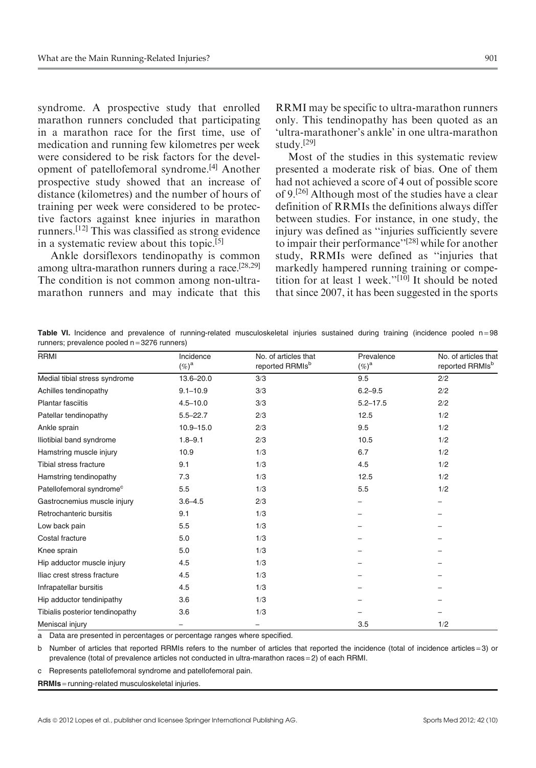syndrome. A prospective study that enrolled marathon runners concluded that participating in a marathon race for the first time, use of medication and running few kilometres per week were considered to be risk factors for the development of patellofemoral syndrome.[4] Another prospective study showed that an increase of distance (kilometres) and the number of hours of training per week were considered to be protective factors against knee injuries in marathon runners.[12] This was classified as strong evidence in a systematic review about this topic.[5]

Ankle dorsiflexors tendinopathy is common among ultra-marathon runners during a race.[28,29] The condition is not common among non-ultramarathon runners and may indicate that this RRMI may be specific to ultra-marathon runners only. This tendinopathy has been quoted as an 'ultra-marathoner's ankle' in one ultra-marathon study.[29]

Most of the studies in this systematic review presented a moderate risk of bias. One of them had not achieved a score of 4 out of possible score of 9.[26] Although most of the studies have a clear definition of RRMIs the definitions always differ between studies. For instance, in one study, the injury was defined as ''injuries sufficiently severe to impair their performance"<sup>[28]</sup> while for another study, RRMIs were defined as ''injuries that markedly hampered running training or competition for at least 1 week.''[10] It should be noted that since 2007, it has been suggested in the sports

Table VI. Incidence and prevalence of running-related musculoskeletal injuries sustained during training (incidence pooled n=98 runners; prevalence pooled  $n = 3276$  runners)

| <b>RRMI</b>                          | Incidence<br>$(\%)^{\mathrm{a}}$ | No. of articles that<br>reported RRMIs <sup>b</sup> | Prevalence<br>$(\%)^{\mathrm{a}}$ | No. of articles that<br>reported RRMIs <sup>b</sup> |
|--------------------------------------|----------------------------------|-----------------------------------------------------|-----------------------------------|-----------------------------------------------------|
| Medial tibial stress syndrome        | 13.6-20.0                        | 3/3                                                 | 9.5                               | 2/2                                                 |
| Achilles tendinopathy                | $9.1 - 10.9$                     | 3/3                                                 | $6.2 - 9.5$                       | 2/2                                                 |
| Plantar fasciitis                    | $4.5 - 10.0$                     | 3/3                                                 | $5.2 - 17.5$                      | 2/2                                                 |
| Patellar tendinopathy                | $5.5 - 22.7$                     | 2/3                                                 | 12.5                              | 1/2                                                 |
| Ankle sprain                         | $10.9 - 15.0$                    | 2/3                                                 | 9.5                               | 1/2                                                 |
| Iliotibial band syndrome             | $1.8 - 9.1$                      | 2/3                                                 | 10.5                              | 1/2                                                 |
| Hamstring muscle injury              | 10.9                             | 1/3                                                 | 6.7                               | 1/2                                                 |
| Tibial stress fracture               | 9.1                              | 1/3                                                 | 4.5                               | 1/2                                                 |
| Hamstring tendinopathy               | 7.3                              | 1/3                                                 | 12.5                              | 1/2                                                 |
| Patellofemoral syndrome <sup>c</sup> | 5.5                              | 1/3                                                 | 5.5                               | 1/2                                                 |
| Gastrocnemius muscle injury          | $3.6 - 4.5$                      | 2/3                                                 |                                   |                                                     |
| Retrochanteric bursitis              | 9.1                              | 1/3                                                 |                                   |                                                     |
| Low back pain                        | 5.5                              | 1/3                                                 |                                   |                                                     |
| Costal fracture                      | 5.0                              | 1/3                                                 |                                   |                                                     |
| Knee sprain                          | 5.0                              | 1/3                                                 |                                   |                                                     |
| Hip adductor muscle injury           | 4.5                              | 1/3                                                 |                                   |                                                     |
| Iliac crest stress fracture          | 4.5                              | 1/3                                                 |                                   |                                                     |
| Infrapatellar bursitis               | 4.5                              | 1/3                                                 |                                   |                                                     |
| Hip adductor tendinipathy            | 3.6                              | 1/3                                                 |                                   |                                                     |
| Tibialis posterior tendinopathy      | 3.6                              | 1/3                                                 |                                   |                                                     |
| Meniscal injury                      | $\overline{\phantom{0}}$         |                                                     | 3.5                               | 1/2                                                 |

a Data are presented in percentages or percentage ranges where specified.

b Number of articles that reported RRMIs refers to the number of articles that reported the incidence (total of incidence articles = 3) or prevalence (total of prevalence articles not conducted in ultra-marathon races = 2) of each RRMI.

c Represents patellofemoral syndrome and patellofemoral pain.

RRMIs = running-related musculoskeletal injuries.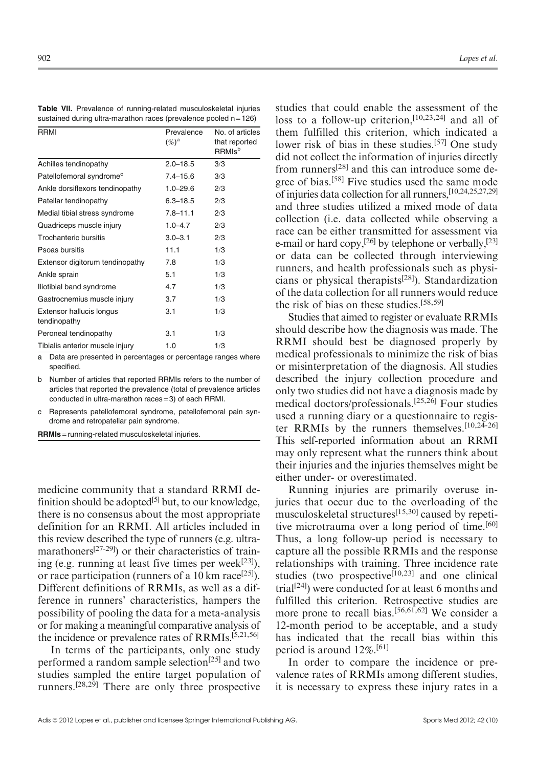Table VII. Prevalence of running-related musculoskeletal injuries sustained during ultra-marathon races (prevalence pooled  $n = 126$ )

| <b>RRMI</b>                              | Prevalence<br>$(\%)^{\mathrm{a}}$ | No. of articles<br>that reported<br><b>RRMIs</b> <sup>b</sup> |
|------------------------------------------|-----------------------------------|---------------------------------------------------------------|
| Achilles tendinopathy                    | $2.0 - 18.5$                      | 3/3                                                           |
| Patellofemoral syndrome <sup>c</sup>     | $7.4 - 15.6$                      | 3/3                                                           |
| Ankle dorsiflexors tendinopathy          | $1.0 - 29.6$                      | 2/3                                                           |
| Patellar tendinopathy                    | $6.3 - 18.5$                      | 2/3                                                           |
| Medial tibial stress syndrome            | $7.8 - 11.1$                      | 2/3                                                           |
| Quadriceps muscle injury                 | $1.0 - 4.7$                       | 2/3                                                           |
| Trochanteric bursitis                    | $3.0 - 3.1$                       | 2/3                                                           |
| Psoas bursitis                           | 11.1                              | 1/3                                                           |
| Extensor digitorum tendinopathy          | 7.8                               | 1/3                                                           |
| Ankle sprain                             | 5.1                               | 1/3                                                           |
| Iliotibial band syndrome                 | 4.7                               | 1/3                                                           |
| Gastrocnemius muscle injury              | 3.7                               | 1/3                                                           |
| Extensor hallucis longus<br>tendinopathy | 3.1                               | 1/3                                                           |
| Peroneal tendinopathy                    | 3.1                               | 1/3                                                           |
| Tibialis anterior muscle injury          | 1.0                               | 1/3                                                           |

a Data are presented in percentages or percentage ranges where specified.

b Number of articles that reported RRMIs refers to the number of articles that reported the prevalence (total of prevalence articles conducted in ultra-marathon races = 3) of each RRMI.

Represents patellofemoral syndrome, patellofemoral pain syndrome and retropatellar pain syndrome.

RRMIs = running-related musculoskeletal injuries.

medicine community that a standard RRMI definition should be adopted<sup>[5]</sup> but, to our knowledge, there is no consensus about the most appropriate definition for an RRMI. All articles included in this review described the type of runners (e.g. ultramarathoners<sup>[27-29]</sup>) or their characteristics of training (e.g. running at least five times per week $[23]$ ), or race participation (runners of a 10 km race<sup>[25]</sup>). Different definitions of RRMIs, as well as a difference in runners' characteristics, hampers the possibility of pooling the data for a meta-analysis or for making a meaningful comparative analysis of the incidence or prevalence rates of RRMIs.[5,21,56]

In terms of the participants, only one study performed a random sample selection<sup>[25]</sup> and two studies sampled the entire target population of runners.[28,29] There are only three prospective

studies that could enable the assessment of the loss to a follow-up criterion,[10,23,24] and all of them fulfilled this criterion, which indicated a lower risk of bias in these studies.[57] One study did not collect the information of injuries directly from runners[28] and this can introduce some degree of bias.[58] Five studies used the same mode of injuries data collection for all runners,[10,24,25,27,29] and three studies utilized a mixed mode of data collection (i.e. data collected while observing a race can be either transmitted for assessment via e-mail or hard copy,<sup>[26]</sup> by telephone or verbally,<sup>[23]</sup> or data can be collected through interviewing runners, and health professionals such as physicians or physical therapists[28]). Standardization of the data collection for all runners would reduce the risk of bias on these studies.[58,59]

Studies that aimed to register or evaluate RRMIs should describe how the diagnosis was made. The RRMI should best be diagnosed properly by medical professionals to minimize the risk of bias or misinterpretation of the diagnosis. All studies described the injury collection procedure and only two studies did not have a diagnosis made by medical doctors/professionals.[25,26] Four studies used a running diary or a questionnaire to register RRMIs by the runners themselves.[10,24-26] This self-reported information about an RRMI may only represent what the runners think about their injuries and the injuries themselves might be either under- or overestimated.

Running injuries are primarily overuse injuries that occur due to the overloading of the musculoskeletal structures[15,30] caused by repetitive microtrauma over a long period of time.<sup>[60]</sup> Thus, a long follow-up period is necessary to capture all the possible RRMIs and the response relationships with training. Three incidence rate studies (two prospective<sup>[10,23]</sup> and one clinical trial<sup>[24]</sup>) were conducted for at least 6 months and fulfilled this criterion. Retrospective studies are more prone to recall bias.[56,61,62] We consider a 12-month period to be acceptable, and a study has indicated that the recall bias within this period is around  $12\%$ .<sup>[61]</sup>

In order to compare the incidence or prevalence rates of RRMIs among different studies, it is necessary to express these injury rates in a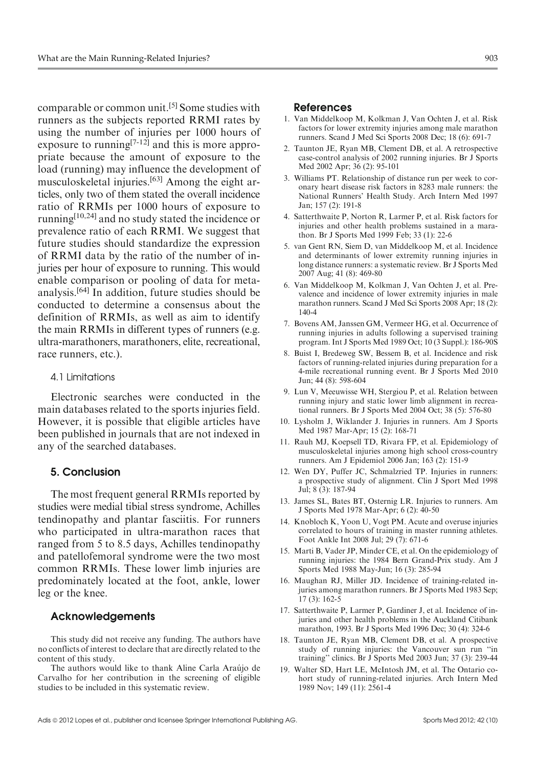comparable or common unit.[5] Some studies with runners as the subjects reported RRMI rates by using the number of injuries per 1000 hours of exposure to running<sup>[7-12]</sup> and this is more appropriate because the amount of exposure to the load (running) may influence the development of musculoskeletal injuries.[63] Among the eight articles, only two of them stated the overall incidence ratio of RRMIs per 1000 hours of exposure to running[10,24] and no study stated the incidence or prevalence ratio of each RRMI. We suggest that future studies should standardize the expression of RRMI data by the ratio of the number of injuries per hour of exposure to running. This would enable comparison or pooling of data for metaanalysis.[64] In addition, future studies should be conducted to determine a consensus about the definition of RRMIs, as well as aim to identify the main RRMIs in different types of runners (e.g. ultra-marathoners, marathoners, elite, recreational, race runners, etc.).

### 4.1 Limitations

Electronic searches were conducted in the main databases related to the sports injuries field. However, it is possible that eligible articles have been published in journals that are not indexed in any of the searched databases.

# 5. Conclusion

The most frequent general RRMIs reported by studies were medial tibial stress syndrome, Achilles tendinopathy and plantar fasciitis. For runners who participated in ultra-marathon races that ranged from 5 to 8.5 days, Achilles tendinopathy and patellofemoral syndrome were the two most common RRMIs. These lower limb injuries are predominately located at the foot, ankle, lower leg or the knee.

#### Acknowledgements

This study did not receive any funding. The authors have no conflicts of interest to declare that are directly related to the content of this study.

The authors would like to thank Aline Carla Araújo de Carvalho for her contribution in the screening of eligible studies to be included in this systematic review.

#### References

- 1. Van Middelkoop M, Kolkman J, Van Ochten J, et al. Risk factors for lower extremity injuries among male marathon runners. Scand J Med Sci Sports 2008 Dec; 18 (6): 691-7
- 2. Taunton JE, Ryan MB, Clement DB, et al. A retrospective case-control analysis of 2002 running injuries. Br J Sports Med 2002 Apr; 36 (2): 95-101
- 3. Williams PT. Relationship of distance run per week to coronary heart disease risk factors in 8283 male runners: the National Runners' Health Study. Arch Intern Med 1997 Jan; 157 (2): 191-8
- 4. Satterthwaite P, Norton R, Larmer P, et al. Risk factors for injuries and other health problems sustained in a marathon. Br J Sports Med 1999 Feb; 33 (1): 22-6
- 5. van Gent RN, Siem D, van Middelkoop M, et al. Incidence and determinants of lower extremity running injuries in long distance runners: a systematic review. Br J Sports Med 2007 Aug; 41 (8): 469-80
- 6. Van Middelkoop M, Kolkman J, Van Ochten J, et al. Prevalence and incidence of lower extremity injuries in male marathon runners. Scand J Med Sci Sports 2008 Apr; 18 (2): 140-4
- 7. Bovens AM, Janssen GM, Vermeer HG, et al. Occurrence of running injuries in adults following a supervised training program. Int J Sports Med 1989 Oct; 10 (3 Suppl.): 186-90S
- 8. Buist I, Bredeweg SW, Bessem B, et al. Incidence and risk factors of running-related injuries during preparation for a 4-mile recreational running event. Br J Sports Med 2010 Jun; 44 (8): 598-604
- 9. Lun V, Meeuwisse WH, Stergiou P, et al. Relation between running injury and static lower limb alignment in recreational runners. Br J Sports Med 2004 Oct; 38 (5): 576-80
- 10. Lysholm J, Wiklander J. Injuries in runners. Am J Sports Med 1987 Mar-Apr; 15 (2): 168-71
- 11. Rauh MJ, Koepsell TD, Rivara FP, et al. Epidemiology of musculoskeletal injuries among high school cross-country runners. Am J Epidemiol 2006 Jan; 163 (2): 151-9
- 12. Wen DY, Puffer JC, Schmalzried TP. Injuries in runners: a prospective study of alignment. Clin J Sport Med 1998 Jul; 8 (3): 187-94
- 13. James SL, Bates BT, Osternig LR. Injuries to runners. Am J Sports Med 1978 Mar-Apr; 6 (2): 40-50
- 14. Knobloch K, Yoon U, Vogt PM. Acute and overuse injuries correlated to hours of training in master running athletes. Foot Ankle Int 2008 Jul; 29 (7): 671-6
- 15. Marti B, Vader JP, Minder CE, et al. On the epidemiology of running injuries: the 1984 Bern Grand-Prix study. Am J Sports Med 1988 May-Jun; 16 (3): 285-94
- 16. Maughan RJ, Miller JD. Incidence of training-related injuries among marathon runners. Br J Sports Med 1983 Sep; 17 (3): 162-5
- 17. Satterthwaite P, Larmer P, Gardiner J, et al. Incidence of injuries and other health problems in the Auckland Citibank marathon, 1993. Br J Sports Med 1996 Dec; 30 (4): 324-6
- 18. Taunton JE, Ryan MB, Clement DB, et al. A prospective study of running injuries: the Vancouver sun run ''in training'' clinics. Br J Sports Med 2003 Jun; 37 (3): 239-44
- 19. Walter SD, Hart LE, McIntosh JM, et al. The Ontario cohort study of running-related injuries. Arch Intern Med 1989 Nov; 149 (11): 2561-4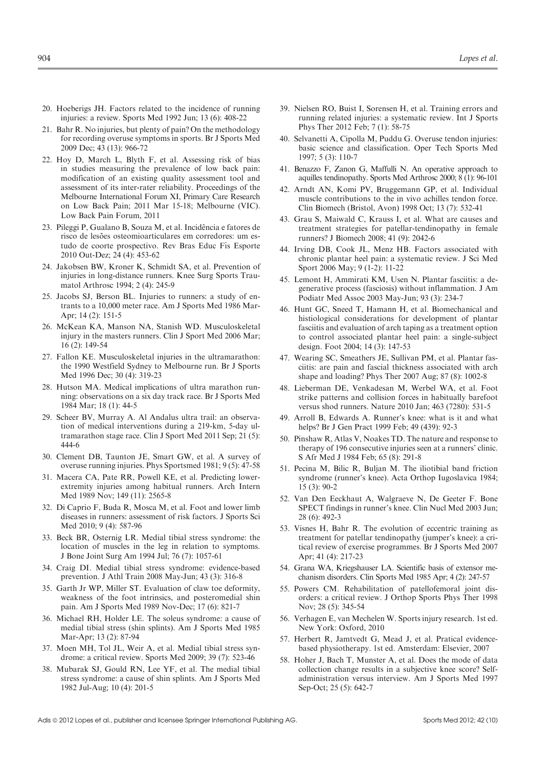- 20. Hoeberigs JH. Factors related to the incidence of running injuries: a review. Sports Med 1992 Jun; 13 (6): 408-22
- 21. Bahr R. No injuries, but plenty of pain? On the methodology for recording overuse symptoms in sports. Br J Sports Med 2009 Dec; 43 (13): 966-72
- 22. Hoy D, March L, Blyth F, et al. Assessing risk of bias in studies measuring the prevalence of low back pain: modification of an existing quality assessment tool and assessment of its inter-rater reliability. Proceedings of the Melbourne International Forum XI, Primary Care Research on Low Back Pain; 2011 Mar 15-18; Melbourne (VIC). Low Back Pain Forum, 2011
- 23. Pileggi P, Gualano B, Souza M, et al. Incidência e fatores de risco de lesões osteomioarticulares em corredores: um estudo de coorte prospectivo. Rev Bras Educ Fís Esporte 2010 Out-Dez; 24 (4): 453-62
- 24. Jakobsen BW, Kroner K, Schmidt SA, et al. Prevention of injuries in long-distance runners. Knee Surg Sports Traumatol Arthrosc 1994; 2 (4): 245-9
- 25. Jacobs SJ, Berson BL. Injuries to runners: a study of entrants to a 10,000 meter race. Am J Sports Med 1986 Mar-Apr; 14 (2): 151-5
- 26. McKean KA, Manson NA, Stanish WD. Musculoskeletal injury in the masters runners. Clin J Sport Med 2006 Mar; 16 (2): 149-54
- 27. Fallon KE. Musculoskeletal injuries in the ultramarathon: the 1990 Westfield Sydney to Melbourne run. Br J Sports Med 1996 Dec; 30 (4): 319-23
- 28. Hutson MA. Medical implications of ultra marathon running: observations on a six day track race. Br J Sports Med 1984 Mar; 18 (1): 44-5
- 29. Scheer BV, Murray A. Al Andalus ultra trail: an observation of medical interventions during a 219-km, 5-day ultramarathon stage race. Clin J Sport Med 2011 Sep; 21 (5): 444-6
- 30. Clement DB, Taunton JE, Smart GW, et al. A survey of overuse running injuries. Phys Sportsmed 1981; 9 (5): 47-58
- 31. Macera CA, Pate RR, Powell KE, et al. Predicting lowerextremity injuries among habitual runners. Arch Intern Med 1989 Nov; 149 (11): 2565-8
- 32. Di Caprio F, Buda R, Mosca M, et al. Foot and lower limb diseases in runners: assessment of risk factors. J Sports Sci Med 2010; 9 (4): 587-96
- 33. Beck BR, Osternig LR. Medial tibial stress syndrome: the location of muscles in the leg in relation to symptoms. J Bone Joint Surg Am 1994 Jul; 76 (7): 1057-61
- 34. Craig DI. Medial tibial stress syndrome: evidence-based prevention. J Athl Train 2008 May-Jun; 43 (3): 316-8
- 35. Garth Jr WP, Miller ST. Evaluation of claw toe deformity, weakness of the foot intrinsics, and posteromedial shin pain. Am J Sports Med 1989 Nov-Dec; 17 (6): 821-7
- 36. Michael RH, Holder LE. The soleus syndrome: a cause of medial tibial stress (shin splints). Am J Sports Med 1985 Mar-Apr; 13 (2): 87-94
- 37. Moen MH, Tol JL, Weir A, et al. Medial tibial stress syndrome: a critical review. Sports Med 2009; 39 (7): 523-46
- 38. Mubarak SJ, Gould RN, Lee YF, et al. The medial tibial stress syndrome: a cause of shin splints. Am J Sports Med 1982 Jul-Aug; 10 (4): 201-5
- 39. Nielsen RO, Buist I, Sorensen H, et al. Training errors and running related injuries: a systematic review. Int J Sports Phys Ther 2012 Feb; 7 (1): 58-75
- 40. Selvanetti A, Cipolla M, Puddu G. Overuse tendon injuries: basic science and classification. Oper Tech Sports Med 1997; 5 (3): 110-7
- 41. Benazzo F, Zanon G, Maffulli N. An operative approach to aquilles tendinopathy. Sports Med Arthrosc 2000; 8 (1): 96-101
- 42. Arndt AN, Komi PV, Bruggemann GP, et al. Individual muscle contributions to the in vivo achilles tendon force. Clin Biomech (Bristol, Avon) 1998 Oct; 13 (7): 532-41
- 43. Grau S, Maiwald C, Krauss I, et al. What are causes and treatment strategies for patellar-tendinopathy in female runners? J Biomech 2008; 41 (9): 2042-6
- 44. Irving DB, Cook JL, Menz HB. Factors associated with chronic plantar heel pain: a systematic review. J Sci Med Sport 2006 May; 9 (1-2): 11-22
- 45. Lemont H, Ammirati KM, Usen N. Plantar fasciitis: a degenerative process (fasciosis) without inflammation. J Am Podiatr Med Assoc 2003 May-Jun; 93 (3): 234-7
- 46. Hunt GC, Sneed T, Hamann H, et al. Biomechanical and histiological considerations for development of plantar fasciitis and evaluation of arch taping as a treatment option to control associated plantar heel pain: a single-subject design. Foot 2004; 14 (3): 147-53
- 47. Wearing SC, Smeathers JE, Sullivan PM, et al. Plantar fasciitis: are pain and fascial thickness associated with arch shape and loading? Phys Ther 2007 Aug; 87 (8): 1002-8
- 48. Lieberman DE, Venkadesan M, Werbel WA, et al. Foot strike patterns and collision forces in habitually barefoot versus shod runners. Nature 2010 Jan; 463 (7280): 531-5
- 49. Arroll B, Edwards A. Runner's knee: what is it and what helps? Br J Gen Pract 1999 Feb; 49 (439): 92-3
- 50. Pinshaw R, Atlas V, Noakes TD. The nature and response to therapy of 196 consecutive injuries seen at a runners' clinic. S Afr Med J 1984 Feb; 65 (8): 291-8
- 51. Pecina M, Bilic R, Buljan M. The iliotibial band friction syndrome (runner's knee). Acta Orthop Iugoslavica 1984; 15 (3): 90-2
- 52. Van Den Eeckhaut A, Walgraeve N, De Geeter F. Bone SPECT findings in runner's knee. Clin Nucl Med 2003 Jun; 28 (6): 492-3
- 53. Visnes H, Bahr R. The evolution of eccentric training as treatment for patellar tendinopathy (jumper's knee): a critical review of exercise programmes. Br J Sports Med 2007 Apr; 41 (4): 217-23
- 54. Grana WA, Kriegshauser LA. Scientific basis of extensor mechanism disorders. Clin Sports Med 1985 Apr; 4 (2): 247-57
- 55. Powers CM. Rehabilitation of patellofemoral joint disorders: a critical review. J Orthop Sports Phys Ther 1998 Nov; 28 (5): 345-54
- 56. Verhagen E, van Mechelen W. Sports injury research. 1st ed. New York: Oxford, 2010
- 57. Herbert R, Jamtvedt G, Mead J, et al. Pratical evidencebased physiotherapy. 1st ed. Amsterdam: Elsevier, 2007
- 58. Hoher J, Bach T, Munster A, et al. Does the mode of data collection change results in a subjective knee score? Selfadministration versus interview. Am J Sports Med 1997 Sep-Oct; 25 (5): 642-7